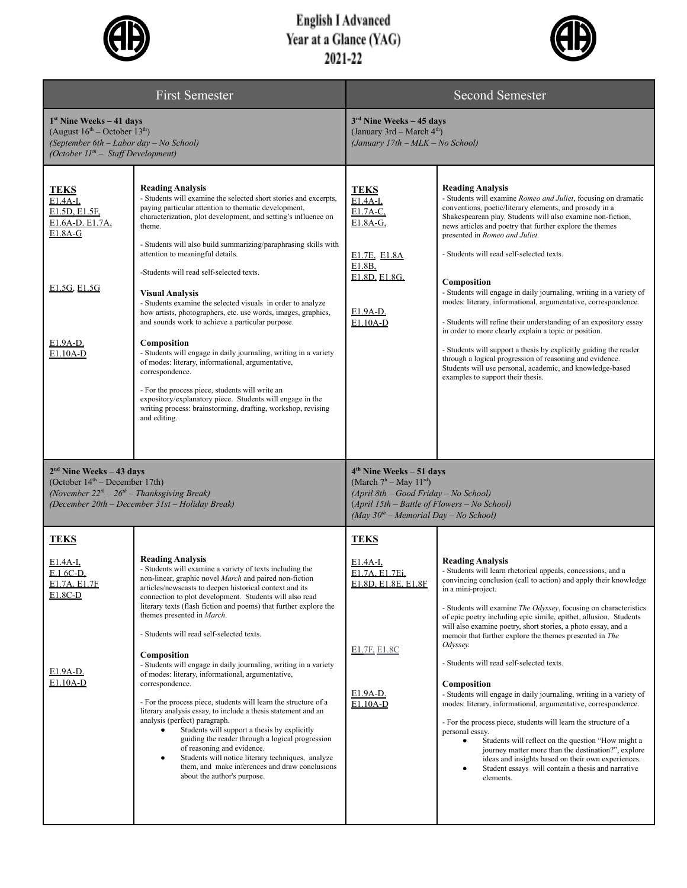

## English I Advanced<br>Year at a Glance (YAG)<br>2021-22



| <b>First Semester</b>                                                                                                                                                              |                                                                                                                                                                                                                                                                                                                                                                                                                                                                                                                                                                                                                                                                                                                                                                                                                                                                                                                                                             | <b>Second Semester</b>                                                                                                                                                                                  |                                                                                                                                                                                                                                                                                                                                                                                                                                                                                                                                                                                                                                                                                                                                                                                                                                                                                         |  |
|------------------------------------------------------------------------------------------------------------------------------------------------------------------------------------|-------------------------------------------------------------------------------------------------------------------------------------------------------------------------------------------------------------------------------------------------------------------------------------------------------------------------------------------------------------------------------------------------------------------------------------------------------------------------------------------------------------------------------------------------------------------------------------------------------------------------------------------------------------------------------------------------------------------------------------------------------------------------------------------------------------------------------------------------------------------------------------------------------------------------------------------------------------|---------------------------------------------------------------------------------------------------------------------------------------------------------------------------------------------------------|-----------------------------------------------------------------------------------------------------------------------------------------------------------------------------------------------------------------------------------------------------------------------------------------------------------------------------------------------------------------------------------------------------------------------------------------------------------------------------------------------------------------------------------------------------------------------------------------------------------------------------------------------------------------------------------------------------------------------------------------------------------------------------------------------------------------------------------------------------------------------------------------|--|
| $1st$ Nine Weeks – 41 days<br>(August $16^{th}$ – October $13^{th}$ )<br>(September 6th - Labor day - No School)<br>(October $IIth$ – Staff Development)                           |                                                                                                                                                                                                                                                                                                                                                                                                                                                                                                                                                                                                                                                                                                                                                                                                                                                                                                                                                             | $3rd$ Nine Weeks – 45 days<br>(January 3rd – March 4 <sup>th</sup> )<br>(January 17th - MLK - No School)                                                                                                |                                                                                                                                                                                                                                                                                                                                                                                                                                                                                                                                                                                                                                                                                                                                                                                                                                                                                         |  |
| <b>TEKS</b><br>E1.4A-I.<br>E1.5D, E1.5F,<br>E1.6A-D. E1.7A,<br>$E1.8A-G$<br>E1.5G, E1.5G<br>E1.9A-D.<br>E1.10A-D                                                                   | <b>Reading Analysis</b><br>- Students will examine the selected short stories and excerpts,<br>paying particular attention to thematic development,<br>characterization, plot development, and setting's influence on<br>theme.<br>- Students will also build summarizing/paraphrasing skills with<br>attention to meaningful details.<br>-Students will read self-selected texts.<br><b>Visual Analysis</b><br>- Students examine the selected visuals in order to analyze<br>how artists, photographers, etc. use words, images, graphics,<br>and sounds work to achieve a particular purpose.<br>Composition<br>- Students will engage in daily journaling, writing in a variety<br>of modes: literary, informational, argumentative,<br>correspondence.<br>- For the process piece, students will write an<br>expository/explanatory piece. Students will engage in the<br>writing process: brainstorming, drafting, workshop, revising<br>and editing. | <b>TEKS</b><br>E1.4A-I.<br>E1.7A-C,<br>E1.8A-G,<br>E1.7E, E1.8A<br>E1.8B,<br>E1.8D, E1.8G,<br>E1.9A-D.<br>E1.10A-D                                                                                      | <b>Reading Analysis</b><br>- Students will examine Romeo and Juliet, focusing on dramatic<br>conventions, poetic/literary elements, and prosody in a<br>Shakespearean play. Students will also examine non-fiction,<br>news articles and poetry that further explore the themes<br>presented in Romeo and Juliet.<br>- Students will read self-selected texts.<br>Composition<br>- Students will engage in daily journaling, writing in a variety of<br>modes: literary, informational, argumentative, correspondence.<br>- Students will refine their understanding of an expository essay<br>in order to more clearly explain a topic or position.<br>- Students will support a thesis by explicitly guiding the reader<br>through a logical progression of reasoning and evidence.<br>Students will use personal, academic, and knowledge-based<br>examples to support their thesis. |  |
| $2nd$ Nine Weeks – 43 days<br>(October 14 <sup>th</sup> – December 17th)<br>(November $22^{th} - 26^{th} -$ Thanksgiving Break)<br>(December 20th - December 31st - Holiday Break) |                                                                                                                                                                                                                                                                                                                                                                                                                                                                                                                                                                                                                                                                                                                                                                                                                                                                                                                                                             | $4th$ Nine Weeks – 51 days<br>(March $7^h$ – May $11^{rd}$ )<br>$(April 8th - Good Friday - No School)$<br>$(April 15th - Battle of Flowers - No School)$<br>(May $30^{th}$ – Memorial Day – No School) |                                                                                                                                                                                                                                                                                                                                                                                                                                                                                                                                                                                                                                                                                                                                                                                                                                                                                         |  |
| <b>TEKS</b>                                                                                                                                                                        |                                                                                                                                                                                                                                                                                                                                                                                                                                                                                                                                                                                                                                                                                                                                                                                                                                                                                                                                                             | <b>TEKS</b>                                                                                                                                                                                             |                                                                                                                                                                                                                                                                                                                                                                                                                                                                                                                                                                                                                                                                                                                                                                                                                                                                                         |  |
| E1.4A-I,<br>E.1 6C-D.<br>E1.7A. E1.7F<br>E1.8C-D<br>E1.9A-D.<br>E1.10A-D                                                                                                           | <b>Reading Analysis</b><br>- Students will examine a variety of texts including the<br>non-linear, graphic novel March and paired non-fiction<br>articles/newscasts to deepen historical context and its<br>connection to plot development. Students will also read<br>literary texts (flash fiction and poems) that further explore the<br>themes presented in March.<br>- Students will read self-selected texts.<br><b>Composition</b><br>- Students will engage in daily journaling, writing in a variety<br>of modes: literary, informational, argumentative,<br>correspondence.<br>- For the process piece, students will learn the structure of a<br>literary analysis essay, to include a thesis statement and an<br>analysis (perfect) paragraph.<br>Students will support a thesis by explicitly<br>guiding the reader through a logical progression<br>of reasoning and evidence.                                                                | E1.4A-I,<br>E1.7A, E1.7Ei,<br>E1.8D, E1.8E, E1.8F<br>E1.7F, E1.8C<br>E1.9A-D.<br>E1.10A-D                                                                                                               | <b>Reading Analysis</b><br>- Students will learn rhetorical appeals, concessions, and a<br>convincing conclusion (call to action) and apply their knowledge<br>in a mini-project.<br>- Students will examine The Odyssey, focusing on characteristics<br>of epic poetry including epic simile, epithet, allusion. Students<br>will also examine poetry, short stories, a photo essay, and a<br>memoir that further explore the themes presented in The<br>Odyssey.<br>- Students will read self-selected texts.<br>Composition<br>- Students will engage in daily journaling, writing in a variety of<br>modes: literary, informational, argumentative, correspondence.<br>- For the process piece, students will learn the structure of a<br>personal essay.<br>Students will reflect on the question "How might a<br>$\bullet$<br>journey matter more than the destination?", explore |  |